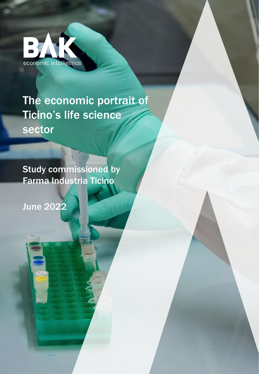

### The economic portrait of Ticino's life science sector

Study commissioned by Farma Industria Ticino

June 2022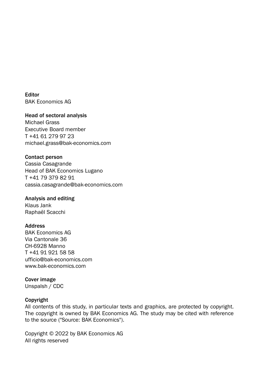Editor BAK Economics AG

#### Head of sectoral analysis

Michael Grass Executive Board member T +41 61 279 97 23 michael.grass@bak-economics.com

#### Contact person

Cassia Casagrande Head of BAK Economics Lugano T +41 79 379 82 91 cassia.casagrande@bak-economics.com

#### Analysis and editing

Klaus Jank Raphaël Scacchi

#### **Address**

BAK Economics AG Via Cantonale 36 CH-6928 Manno T +41 91 921 58 58 ufficio@bak-economics.com www.bak-economics.com

#### Cover image

Unspalsh / CDC

#### Copyright

All contents of this study, in particular texts and graphics, are protected by copyright. The copyright is owned by BAK Economics AG. The study may be cited with reference to the source ("Source: BAK Economics").

Copyright © 2022 by BAK Economics AG All rights reserved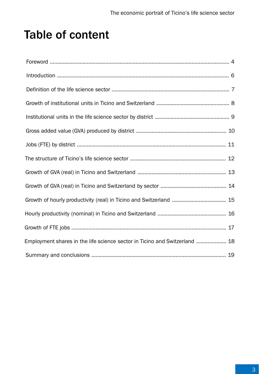### Table of content

| Employment shares in the life science sector in Ticino and Switzerland  18 |  |
|----------------------------------------------------------------------------|--|
|                                                                            |  |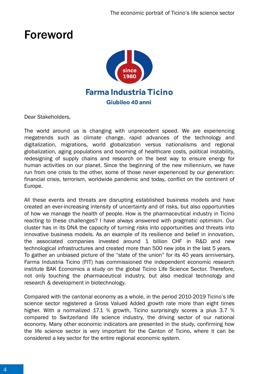### Foreword



Dear Stakeholders,

The world around us is changing with unprecedent speed. We are experiencing megatrends such as climate change, rapid advances of the technology and digitalization, migrations, world globalization versus nationalisms and regional globalization, aging populations and booming of healthcare costs, political instability, redesigning of supply chains and research on the best way to ensure energy for human activities on our planet. Since the beginning of the new millennium, we have run from one crisis to the other, some of those never experienced by our generation: financial crisis, terrorism, worldwide pandemic and today, conflict on the continent of Europe.

All these events and threats are disrupting established business models and have created an ever-increasing intensity of uncertainty and of risks, but also opportunities of how we manage the health of people. How is the pharmaceutical industry in Ticino reacting to these challenges? I have always answered with pragmatic optimism. Our cluster has in its DNA the capacity of turning risks into opportunities and threats into innovative business models. As an example of its resilience and belief in innovation, the associated companies invested around 1 billion CHF in R&D and new technological infrastructures and created more than 500 new jobs in the last 5 years. To gather an unbiased picture of the "state of the union" for its 40 years anniversary, Farma Industria Ticino (FIT) has commissioned the independent economic research institute BAK Economics a study on the global Ticino Life Science Sector. Therefore, not only touching the pharmaceutical industry, but also medical technology and research & development in biotechnology.

Compared with the cantonal economy as a whole, in the period 2010-2019 Ticino's life science sector registered a Gross Valued Added growth rate more than eight times higher. With a normalized 17.1 % growth, Ticino surprisingly scores a plus 3.7 % compared to Switzerland life science industry, the driving sector of our national economy. Many other economic indicators are presented in the study, confirming how the life science sector is very important for the Canton of Ticino, where it can be considered a key sector for the entire regional economic system.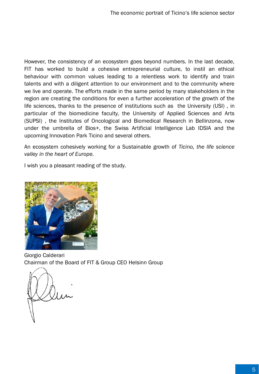However, the consistency of an ecosystem goes beyond numbers. In the last decade, FIT has worked to build a cohesive entrepreneurial culture, to instil an ethical behaviour with common values leading to a relentless work to identify and train talents and with a diligent attention to our environment and to the community where we live and operate. The efforts made in the same period by many stakeholders in the region are creating the conditions for even a further acceleration of the growth of the life sciences, thanks to the presence of institutions such as the University (USI) , in particular of the biomedicine faculty, the University of Applied Sciences and Arts (SUPSI) , the Institutes of Oncological and Biomedical Research in Bellinzona, now under the umbrella of Bios+, the Swiss Artificial Intelligence Lab IDSIA and the upcoming Innovation Park Ticino and several others.

An ecosystem cohesively working for a Sustainable growth of *Ticino, the life science valley in the heart of Europe.*

I wish you a pleasant reading of the study.



Giorgio Calderari Chairman of the Board of FIT & Group CEO Helsinn Group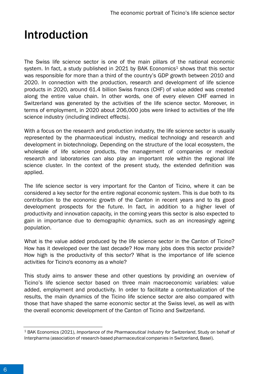### Introduction

The Swiss life science sector is one of the main pillars of the national economic system. In fact, a study published in 2021 by BAK Economics<sup>1</sup> shows that this sector was responsible for more than a third of the country's GDP growth between 2010 and 2020. In connection with the production, research and development of life science products in 2020, around 61.4 billion Swiss francs (CHF) of value added was created along the entire value chain. In other words, one of every eleven CHF earned in Switzerland was generated by the activities of the life science sector. Moreover, in terms of employment, in 2020 about 206,000 jobs were linked to activities of the life science industry (including indirect effects).

With a focus on the research and production industry, the life science sector is usually represented by the pharmaceutical industry, medical technology and research and development in biotechnology. Depending on the structure of the local ecosystem, the wholesale of life science products, the management of companies or medical research and laboratories can also play an important role within the regional life science cluster. In the context of the present study, the extended definition was applied.

The life science sector is very important for the Canton of Ticino, where it can be considered a key sector for the entire regional economic system. This is due both to its contribution to the economic growth of the Canton in recent years and to its good development prospects for the future. In fact, in addition to a higher level of productivity and innovation capacity, in the coming years this sector is also expected to gain in importance due to demographic dynamics, such as an increasingly ageing population.

What is the value added produced by the life science sector in the Canton of Ticino? How has it developed over the last decade? How many jobs does this sector provide? How high is the productivity of this sector? What is the importance of life science activities for Ticino's economy as a whole?

This study aims to answer these and other questions by providing an overview of Ticino's life science sector based on three main macroeconomic variables: value added, employment and productivity. In order to facilitate a contextualization of the results, the main dynamics of the Ticino life science sector are also compared with those that have shaped the same economic sector at the Swiss level, as well as with the overall economic development of the Canton of Ticino and Switzerland.

<sup>1</sup> BAK Economics (2021), *Importance of the Pharmaceutical Industry for Switzerland*, Study on behalf of Interpharma (association of research-based pharmaceutical companies in Switzerland, Basel).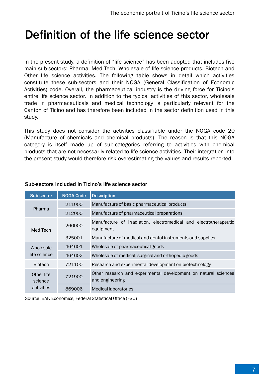### Definition of the life science sector

In the present study, a definition of "life science" has been adopted that includes five main sub-sectors: Pharma, Med Tech, Wholesale of life science products, Biotech and Other life science activities. The following table shows in detail which activities constitute these sub-sectors and their NOGA (General Classification of Economic Activities) code. Overall, the pharmaceutical industry is the driving force for Ticino's entire life science sector. In addition to the typical activities of this sector, wholesale trade in pharmaceuticals and medical technology is particularly relevant for the Canton of Ticino and has therefore been included in the sector definition used in this study.

This study does not consider the activities classifiable under the NOGA code 20 (Manufacture of chemicals and chemical products). The reason is that this NOGA category is itself made up of sub-categories referring to activities with chemical products that are not necessarily related to life science activities. Their integration into the present study would therefore risk overestimating the values and results reported.

| Sub-sector            | <b>NOGA Code</b> | <b>Description</b>                                                                 |  |  |
|-----------------------|------------------|------------------------------------------------------------------------------------|--|--|
| Pharma                | 211000           | Manufacture of basic pharmaceutical products                                       |  |  |
|                       | 212000           | Manufacture of pharmaceutical preparations                                         |  |  |
| Med Tech              | 266000           | Manufacture of irradiation, electromedical and electrotherapeutic<br>equipment     |  |  |
|                       | 325001           | Manufacture of medical and dental instruments and supplies                         |  |  |
| Wholesale             | 464601           | Wholesale of pharmaceutical goods                                                  |  |  |
| life science          | 464602           | Wholesale of medical, surgical and orthopedic goods                                |  |  |
| <b>Biotech</b>        | 721100           | Research and experimental development on biotechnology                             |  |  |
| Other life<br>science | 721900           | Other research and experimental development on natural sciences<br>and engineering |  |  |
| activities            | 869006           | Medical laboratories                                                               |  |  |

### Sub-sectors included in Ticino's life science sector

Source: BAK Economics, Federal Statistical Office (FSO)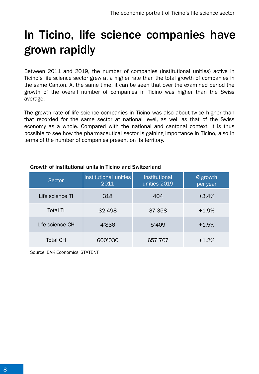## In Ticino, life science companies have grown rapidly

Between 2011 and 2019, the number of companies (institutional unities) active in Ticino's life science sector grew at a higher rate than the total growth of companies in the same Canton. At the same time, it can be seen that over the examined period the growth of the overall number of companies in Ticino was higher than the Swiss average.

The growth rate of life science companies in Ticino was also about twice higher than that recorded for the same sector at national level, as well as that of the Swiss economy as a whole. Compared with the national and cantonal context, it is thus possible to see how the pharmaceutical sector is gaining importance in Ticino, also in terms of the number of companies present on its territory.

| <b>Sector</b>   | Institutional unities<br>2011 | <b>Institutional</b><br>unities 2019 | Ø growth<br>per year |
|-----------------|-------------------------------|--------------------------------------|----------------------|
| Life science TI | 318                           | 404                                  | $+3.4%$              |
| <b>Total TI</b> | 32'498                        | 37'358                               | $+1.9%$              |
| Life science CH | 4'836                         | 5'409                                | $+1.5%$              |
| <b>Total CH</b> | 600'030                       | 657'707                              | $+1.2%$              |

#### Growth of institutional units in Ticino and Switzerland

Source: BAK Economics, STATENT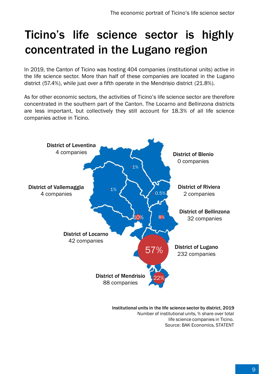# Ticino's life science sector is highly concentrated in the Lugano region

In 2019, the Canton of Ticino was hosting 404 companies (institutional units) active in the life science sector. More than half of these companies are located in the Lugano district (57.4%), while just over a fifth operate in the Mendrisio district (21.8%).

As for other economic sectors, the activities of Ticino's life science sector are therefore concentrated in the southern part of the Canton. The Locarno and Bellinzona districts are less important, but collectively they still account for 18.3% of all life science companies active in Ticino.



Institutional units in the life science sector by district, 2019 Number of institutional units, % share over total life science companies in Ticino. Source: BAK Economics, STATENT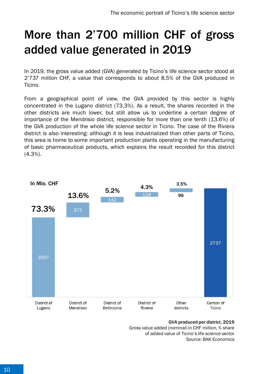## More than 2'700 million CHF of gross added value generated in 2019

In 2019, the gross value added (GVA) generated by Ticino's life science sector stood at 2'737 million CHF, a value that corresponds to about 8.5% of the GVA produced in Ticino.

From a geographical point of view, the GVA provided by this sector is highly concentrated in the Lugano district (73.3%). As a result, the shares recorded in the other districts are much lower, but still allow us to underline a certain degree of importance of the Mendrisio district, responsible for more than one tenth (13.6%) of the GVA production of the whole life science sector in Ticino. The case of the Riviera district is also interesting: although it is less industrialized than other parts of Ticino, this area is home to some important production plants operating in the manufacturing of basic pharmaceutical products, which explains the result recorded for this district (4.3%).



GVA produced per district, 2019 Gross value added (nominal) in CHF million, % share of added value of Ticino's life science sector Source: BAK Economics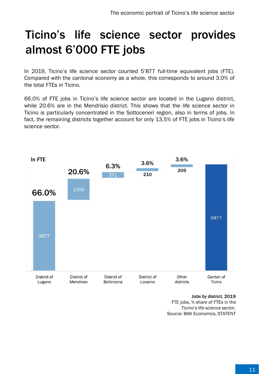## Ticino's life science sector provides almost 6'000 FTE jobs

In 2019, Ticino's life science sector counted 5'877 full-time equivalent jobs (FTE). Compared with the cantonal economy as a whole, this corresponds to around 3.0% of the total FTEs in Ticino.

66.0% of FTE jobs in Ticino's life science sector are located in the Lugano district, while 20.6% are in the Mendrisio district. This shows that the life science sector in Ticino is particularly concentrated in the Sottoceneri region, also in terms of jobs. In fact, the remaining districts together account for only 13.5% of FTE jobs in Ticino's life science sector.



Jobs by district, 2019 FTE jobs, % share of FTEs in the Ticino's life science sector. Source: BAK Economics, STATENT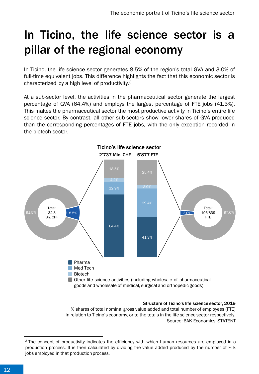## In Ticino, the life science sector is a pillar of the regional economy

In Ticino, the life science sector generates 8.5% of the region's total GVA and 3.0% of full-time equivalent jobs. This difference highlights the fact that this economic sector is characterized by a high level of productivity.<sup>3</sup>

At a sub-sector level, the activities in the pharmaceutical sector generate the largest percentage of GVA (64.4%) and employs the largest percentage of FTE jobs (41.3%). This makes the pharmaceutical sector the most productive activity in Ticino's entire life science sector. By contrast, all other sub-sectors show lower shares of GVA produced than the corresponding percentages of FTE jobs, with the only exception recorded in the biotech sector.



#### Structure of Ticino's life science sector, 2019

% shares of total nominal gross value added and total number of employees (FTE) in relation to Ticino's economy, or to the totals in the life science sector respectively. Source: BAK Economics, STATENT

<sup>&</sup>lt;sup>3</sup> The concept of productivity indicates the efficiency with which human resources are employed in a production process. It is then calculated by dividing the value added produced by the number of FTE jobs employed in that production process.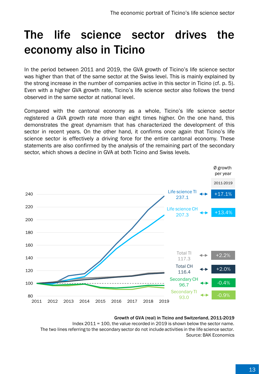### The life science sector drives the economy also in Ticino

In the period between 2011 and 2019, the GVA growth of Ticino's life science sector was higher than that of the same sector at the Swiss level. This is mainly explained by the strong increase in the number of companies active in this sector in Ticino (cf. p. 5). Even with a higher GVA growth rate, Ticino's life science sector also follows the trend observed in the same sector at national level.

Compared with the cantonal economy as a whole, Ticino's life science sector registered a GVA growth rate more than eight times higher. On the one hand, this demonstrates the great dynamism that has characterized the development of this sector in recent years. On the other hand, it confirms once again that Ticino's life science sector is effectively a driving force for the entire cantonal economy. These statements are also confirmed by the analysis of the remaining part of the secondary sector, which shows a decline in GVA at both Ticino and Swiss levels.



#### Growth of GVA (real) in Ticino and Switzerland, 2011-2019

Index 2011 = 100, the value recorded in 2019 is shown below the sector name. The two lines referring to the secondary sector do not include activities in the life science sector. Source: BAK Economics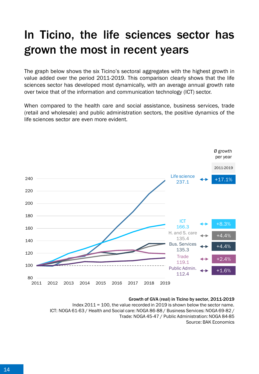## In Ticino, the life sciences sector has grown the most in recent years

The graph below shows the six Ticino's sectoral aggregates with the highest growth in value added over the period 2011-2019. This comparison clearly shows that the life sciences sector has developed most dynamically, with an average annual growth rate over twice that of the information and communication technology (ICT) sector.

When compared to the health care and social assistance, business services, trade (retail and wholesale) and public administration sectors, the positive dynamics of the life sciences sector are even more evident.



#### Growth of GVA (real) in Ticino by sector, 2011-2019

Index 2011 = 100, the value recorded in 2019 is shown below the sector name. ICT: NOGA 61-63 / Health and Social care: NOGA 86-88 / Business Services: NOGA 69-82 / Trade: NOGA 45-47 / Public Administration: NOGA 84-85 Source: BAK Economics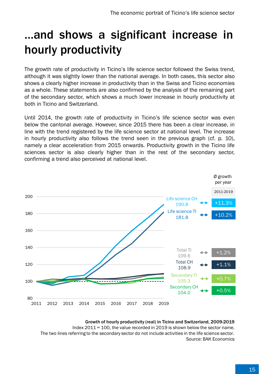## …and shows a significant increase in hourly productivity

The growth rate of productivity in Ticino's life science sector followed the Swiss trend, although it was slightly lower than the national average. In both cases, this sector also shows a clearly higher increase in productivity than in the Swiss and Ticino economies as a whole. These statements are also confirmed by the analysis of the remaining part of the secondary sector, which shows a much lower increase in hourly productivity at both in Ticino and Switzerland.

Until 2014, the growth rate of productivity in Ticino's life science sector was even below the cantonal average. However, since 2015 there has been a clear increase, in line with the trend registered by the life science sector at national level. The increase in hourly productivity also follows the trend seen in the previous graph (cf. p. 10), namely a clear acceleration from 2015 onwards. Productivity growth in the Ticino life sciences sector is also clearly higher than in the rest of the secondary sector, confirming a trend also perceived at national level.



#### Growth of hourly productivity (real) in Ticino and Switzerland, 2009-2019

Index 2011 = 100, the value recorded in 2019 is shown below the sector name. The two lines referring to the secondary sector do not include activities in the life science sector. Source: BAK Economics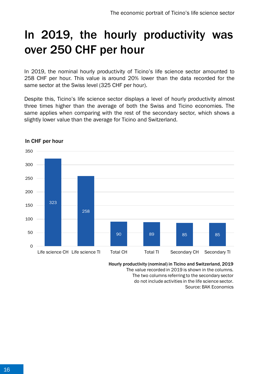## In 2019, the hourly productivity was over 250 CHF per hour

In 2019, the nominal hourly productivity of Ticino's life science sector amounted to 258 CHF per hour. This value is around 20% lower than the data recorded for the same sector at the Swiss level (325 CHF per hour).

Despite this, Ticino's life science sector displays a level of hourly productivity almost three times higher than the average of both the Swiss and Ticino economies. The same applies when comparing with the rest of the secondary sector, which shows a slightly lower value than the average for Ticino and Switzerland.



### In CHF per hour

Hourly productivity (nominal) in Ticino and Switzerland, 2019

The value recorded in 2019 is shown in the columns. The two columns referring to the secondary sector

do not include activities in the life science sector. Source: BAK Economics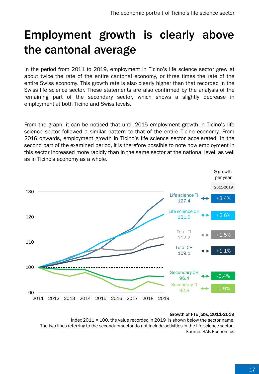## Employment growth is clearly above the cantonal average

In the period from 2011 to 2019, employment in Ticino's life science sector grew at about twice the rate of the entire cantonal economy, or three times the rate of the entire Swiss economy. This growth rate is also clearly higher than that recorded in the Swiss life science sector. These statements are also confirmed by the analysis of the remaining part of the secondary sector, which shows a slightly decrease in employment at both Ticino and Swiss levels.

From the graph, it can be noticed that until 2015 employment growth in Ticino's life science sector followed a similar pattern to that of the entire Ticino economy. From 2016 onwards, employment growth in Ticino's life science sector accelerated: in the second part of the examined period, it is therefore possible to note how employment in this sector increased more rapidly than in the same sector at the national level, as well as in Ticino's economy as a whole.



#### Growth of FTE jobs, 2011-2019

Index 2011 = 100, the value recorded in 2019 is shown below the sector name. The two lines referring to the secondary sector do not include activities in the life science sector. Source: BAK Economics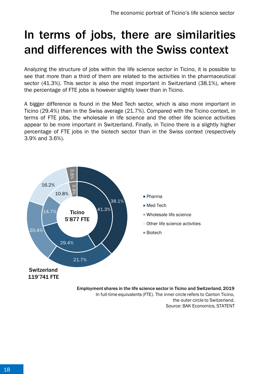## In terms of jobs, there are similarities and differences with the Swiss context

Analyzing the structure of jobs within the life science sector in Ticino, it is possible to see that more than a third of them are related to the activities in the pharmaceutical sector (41.3%). This sector is also the most important in Switzerland (38.1%), where the percentage of FTE jobs is however slightly lower than in Ticino.

A bigger difference is found in the Med Tech sector, which is also more important in Ticino (29.4%) than in the Swiss average (21.7%). Compared with the Ticino context, in terms of FTE jobs, the wholesale in life science and the other life science activities appear to be more important in Switzerland. Finally, in Ticino there is a slightly higher percentage of FTE jobs in the biotech sector than in the Swiss context (respectively 3.9% and 3.6%).



the outer circle to Switzerland. Source: BAK Economics, STATENT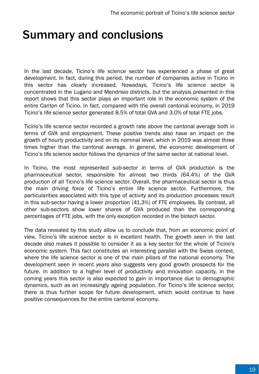### Summary and conclusions

In the last decade, Ticino's life science sector has experienced a phase of great development. In fact, during this period, the number of companies active in Ticino in this sector has clearly increased. Nowadays, Ticino's life science sector is concentrated in the Lugano and Mendrisio districts, but the analysis presented in this report shows that this sector plays an important role in the economic system of the entire Canton of Ticino. In fact, compared with the overall cantonal economy, in 2019 Ticino's life science sector generated 8.5% of total GVA and 3.0% of total FTE jobs.

Ticino's life science sector recorded a growth rate above the cantonal average both in terms of GVA and employment. These positive trends also have an impact on the growth of hourly productivity and on its nominal level, which in 2019 was almost three times higher than the cantonal average. In general, the economic development of Ticino's life science sector follows the dynamics of the same sector at national level.

In Ticino, the most represented sub-sector in terms of GVA production is the pharmaceutical sector, responsible for almost two thirds (64.4%) of the GVA production of all Ticino's life science sector. Overall, the pharmaceutical sector is thus the main driving force of Ticino's entire life science sector. Furthermore, the particularities associated with this type of activity and its production processes result in this sub-sector having a lower proportion (41.3%) of FTE employees. By contrast, all other sub-sectors show lower shares of GVA produced than the corresponding percentages of FTE jobs, with the only exception recorded in the biotech sector.

The data revealed by this study allow us to conclude that, from an economic point of view, Ticino's life science sector is in excellent health. The growth seen in the last decade also makes it possible to consider it as a key sector for the whole of Ticino's economic system. This fact constitutes an interesting parallel with the Swiss context, where the life science sector is one of the main pillars of the national economy. The development seen in recent years also suggests very good growth prospects for the future. In addition to a higher level of productivity and innovation capacity, in the coming years this sector is also expected to gain in importance due to demographic dynamics, such as an increasingly ageing population. For Ticino's life science sector, there is thus further scope for future development, which would continue to have positive consequences for the entire cantonal economy.